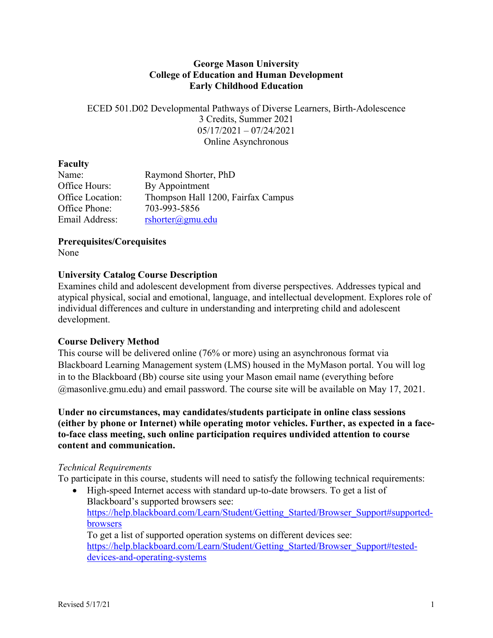#### **George Mason University College of Education and Human Development Early Childhood Education**

ECED 501.D02 Developmental Pathways of Diverse Learners, Birth-Adolescence 3 Credits, Summer 2021 05/17/2021 – 07/24/2021 Online Asynchronous

#### **Faculty**

| Name:            | Raymond Shorter, PhD               |
|------------------|------------------------------------|
| Office Hours:    | By Appointment                     |
| Office Location: | Thompson Hall 1200, Fairfax Campus |
| Office Phone:    | 703-993-5856                       |
| Email Address:   | $rshotter(\omega gmu.edu)$         |

**Prerequisites/Corequisites**

None

# **University Catalog Course Description**

Examines child and adolescent development from diverse perspectives. Addresses typical and atypical physical, social and emotional, language, and intellectual development. Explores role of individual differences and culture in understanding and interpreting child and adolescent development.

# **Course Delivery Method**

This course will be delivered online (76% or more) using an asynchronous format via Blackboard Learning Management system (LMS) housed in the MyMason portal. You will log in to the Blackboard (Bb) course site using your Mason email name (everything before @masonlive.gmu.edu) and email password. The course site will be available on May 17, 2021.

**Under no circumstances, may candidates/students participate in online class sessions (either by phone or Internet) while operating motor vehicles. Further, as expected in a faceto-face class meeting, such online participation requires undivided attention to course content and communication.**

#### *Technical Requirements*

To participate in this course, students will need to satisfy the following technical requirements:

• High-speed Internet access with standard up-to-date browsers. To get a list of Blackboard's supported browsers see: https://help.blackboard.com/Learn/Student/Getting\_Started/Browser\_Support#supportedbrowsers To get a list of supported operation systems on different devices see:

https://help.blackboard.com/Learn/Student/Getting\_Started/Browser\_Support#testeddevices-and-operating-systems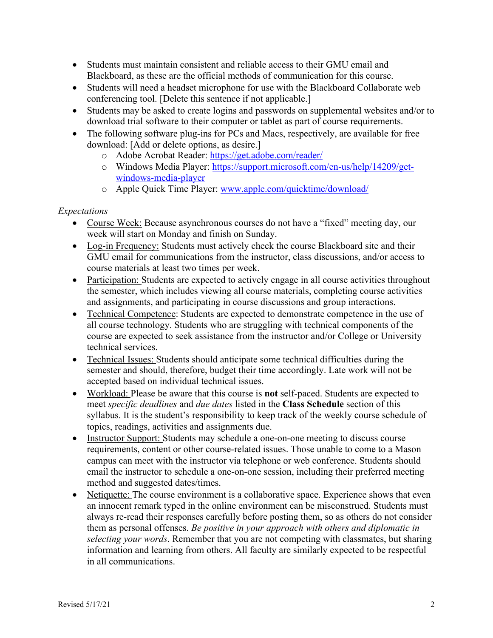- Students must maintain consistent and reliable access to their GMU email and Blackboard, as these are the official methods of communication for this course.
- Students will need a headset microphone for use with the Blackboard Collaborate web conferencing tool. [Delete this sentence if not applicable.]
- Students may be asked to create logins and passwords on supplemental websites and/or to download trial software to their computer or tablet as part of course requirements.
- The following software plug-ins for PCs and Macs, respectively, are available for free download: [Add or delete options, as desire.]
	- o Adobe Acrobat Reader: https://get.adobe.com/reader/
	- o Windows Media Player: https://support.microsoft.com/en-us/help/14209/getwindows-media-player
	- o Apple Quick Time Player: www.apple.com/quicktime/download/

# *Expectations*

- Course Week: Because asynchronous courses do not have a "fixed" meeting day, our week will start on Monday and finish on Sunday.
- Log-in Frequency: Students must actively check the course Blackboard site and their GMU email for communications from the instructor, class discussions, and/or access to course materials at least two times per week.
- Participation: Students are expected to actively engage in all course activities throughout the semester, which includes viewing all course materials, completing course activities and assignments, and participating in course discussions and group interactions.
- Technical Competence: Students are expected to demonstrate competence in the use of all course technology. Students who are struggling with technical components of the course are expected to seek assistance from the instructor and/or College or University technical services.
- Technical Issues: Students should anticipate some technical difficulties during the semester and should, therefore, budget their time accordingly. Late work will not be accepted based on individual technical issues.
- Workload: Please be aware that this course is **not** self-paced. Students are expected to meet *specific deadlines* and *due dates* listed in the **Class Schedule** section of this syllabus. It is the student's responsibility to keep track of the weekly course schedule of topics, readings, activities and assignments due.
- Instructor Support: Students may schedule a one-on-one meeting to discuss course requirements, content or other course-related issues. Those unable to come to a Mason campus can meet with the instructor via telephone or web conference. Students should email the instructor to schedule a one-on-one session, including their preferred meeting method and suggested dates/times.
- Netiquette: The course environment is a collaborative space. Experience shows that even an innocent remark typed in the online environment can be misconstrued. Students must always re-read their responses carefully before posting them, so as others do not consider them as personal offenses. *Be positive in your approach with others and diplomatic in selecting your words*. Remember that you are not competing with classmates, but sharing information and learning from others. All faculty are similarly expected to be respectful in all communications.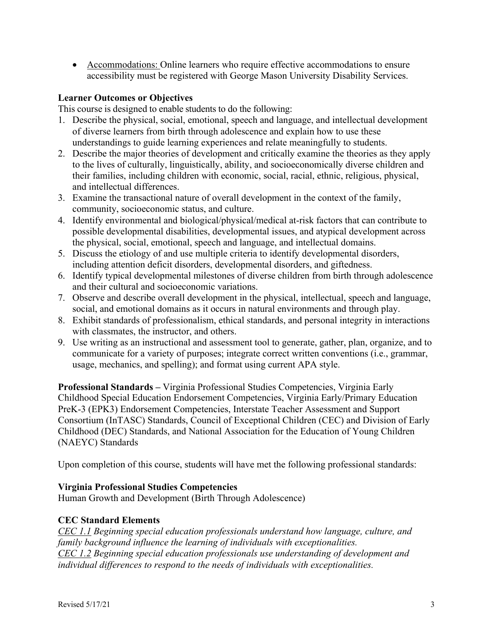• Accommodations: Online learners who require effective accommodations to ensure accessibility must be registered with George Mason University Disability Services.

#### **Learner Outcomes or Objectives**

This course is designed to enable students to do the following:

- 1. Describe the physical, social, emotional, speech and language, and intellectual development of diverse learners from birth through adolescence and explain how to use these understandings to guide learning experiences and relate meaningfully to students.
- 2. Describe the major theories of development and critically examine the theories as they apply to the lives of culturally, linguistically, ability, and socioeconomically diverse children and their families, including children with economic, social, racial, ethnic, religious, physical, and intellectual differences.
- 3. Examine the transactional nature of overall development in the context of the family, community, socioeconomic status, and culture.
- 4. Identify environmental and biological/physical/medical at-risk factors that can contribute to possible developmental disabilities, developmental issues, and atypical development across the physical, social, emotional, speech and language, and intellectual domains.
- 5. Discuss the etiology of and use multiple criteria to identify developmental disorders, including attention deficit disorders, developmental disorders, and giftedness.
- 6. Identify typical developmental milestones of diverse children from birth through adolescence and their cultural and socioeconomic variations.
- 7. Observe and describe overall development in the physical, intellectual, speech and language, social, and emotional domains as it occurs in natural environments and through play.
- 8. Exhibit standards of professionalism, ethical standards, and personal integrity in interactions with classmates, the instructor, and others.
- 9. Use writing as an instructional and assessment tool to generate, gather, plan, organize, and to communicate for a variety of purposes; integrate correct written conventions (i.e., grammar, usage, mechanics, and spelling); and format using current APA style.

**Professional Standards –** Virginia Professional Studies Competencies, Virginia Early Childhood Special Education Endorsement Competencies, Virginia Early/Primary Education PreK-3 (EPK3) Endorsement Competencies, Interstate Teacher Assessment and Support Consortium (InTASC) Standards, Council of Exceptional Children (CEC) and Division of Early Childhood (DEC) Standards, and National Association for the Education of Young Children (NAEYC) Standards

Upon completion of this course, students will have met the following professional standards:

# **Virginia Professional Studies Competencies**

Human Growth and Development (Birth Through Adolescence)

# **CEC Standard Elements**

*CEC 1.1 Beginning special education professionals understand how language, culture, and family background influence the learning of individuals with exceptionalities. CEC 1.2 Beginning special education professionals use understanding of development and individual differences to respond to the needs of individuals with exceptionalities.*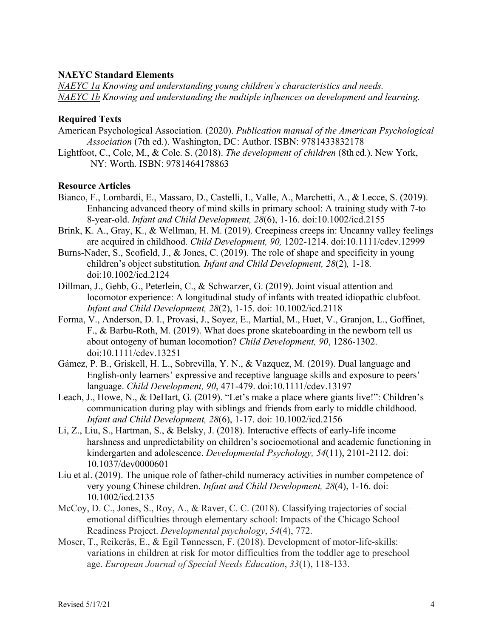#### **NAEYC Standard Elements**

*NAEYC 1a Knowing and understanding young children's characteristics and needs. NAEYC 1b Knowing and understanding the multiple influences on development and learning.*

#### **Required Texts**

- American Psychological Association. (2020). *Publication manual of the American Psychological Association* (7th ed.). Washington, DC: Author. ISBN: 9781433832178
- Lightfoot, C., Cole, M., & Cole. S. (2018). *The development of children* (8th ed.). New York, NY: Worth. ISBN: 9781464178863

#### **Resource Articles**

- Bianco, F., Lombardi, E., Massaro, D., Castelli, I., Valle, A., Marchetti, A., & Lecce, S. (2019). Enhancing advanced theory of mind skills in primary school: A training study with 7-to 8-year-old. *Infant and Child Development, 28*(6), 1-16. doi:10.1002/icd.2155
- Brink, K. A., Gray, K., & Wellman, H. M. (2019). Creepiness creeps in: Uncanny valley feelings are acquired in childhood. *Child Development, 90,* 1202-1214. doi:10.1111/cdev.12999
- Burns-Nader, S., Scofield, J., & Jones, C. (2019). The role of shape and specificity in young children's object substitution*. Infant and Child Development, 28*(2)*,* 1-18*.*  doi:10.1002/icd.2124
- Dillman, J., Gehb, G., Peterlein, C., & Schwarzer, G. (2019). Joint visual attention and locomotor experience: A longitudinal study of infants with treated idiopathic clubfoot*. Infant and Child Development, 28*(2), 1-15. doi: 10.1002/icd.2118
- Forma, V., Anderson, D. I., Provasi, J., Soyez, E., Martial, M., Huet, V., Granjon, L., Goffinet, F., & Barbu-Roth, M. (2019). What does prone skateboarding in the newborn tell us about ontogeny of human locomotion? *Child Development, 90*, 1286-1302. doi:10.1111/cdev.13251
- Gámez, P. B., Griskell, H. L., Sobrevilla, Y. N., & Vazquez, M. (2019). Dual language and English-only learners' expressive and receptive language skills and exposure to peers' language. *Child Development, 90*, 471-479. doi:10.1111/cdev.13197
- Leach, J., Howe, N., & DeHart, G. (2019). "Let's make a place where giants live!": Children's communication during play with siblings and friends from early to middle childhood. *Infant and Child Development, 28*(6), 1-17. doi: 10.1002/icd.2156
- Li, Z., Liu, S., Hartman, S., & Belsky, J. (2018). Interactive effects of early-life income harshness and unpredictability on children's socioemotional and academic functioning in kindergarten and adolescence. *Developmental Psychology, 54*(11), 2101-2112. doi: 10.1037/dev0000601
- Liu et al. (2019). The unique role of father-child numeracy activities in number competence of very young Chinese children. *Infant and Child Development, 28*(4), 1-16. doi: 10.1002/icd.2135
- McCoy, D. C., Jones, S., Roy, A., & Raver, C. C. (2018). Classifying trajectories of social– emotional difficulties through elementary school: Impacts of the Chicago School Readiness Project. *Developmental psychology*, *54*(4), 772.
- Moser, T., Reikerås, E., & Egil Tønnessen, F. (2018). Development of motor-life-skills: variations in children at risk for motor difficulties from the toddler age to preschool age. *European Journal of Special Needs Education*, *33*(1), 118-133.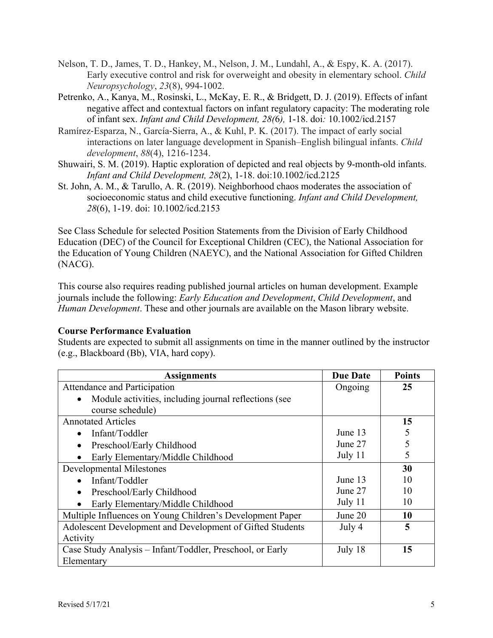- Nelson, T. D., James, T. D., Hankey, M., Nelson, J. M., Lundahl, A., & Espy, K. A. (2017). Early executive control and risk for overweight and obesity in elementary school. *Child Neuropsychology*, *23*(8), 994-1002.
- Petrenko, A., Kanya, M., Rosinski, L., McKay, E. R., & Bridgett, D. J. (2019). Effects of infant negative affect and contextual factors on infant regulatory capacity: The moderating role of infant sex. *Infant and Child Development, 28(*6*),* 1-18. doi*:* 10.1002/icd.2157
- Ramírez-Esparza, N., García-Sierra, A., & Kuhl, P. K. (2017). The impact of early social interactions on later language development in Spanish–English bilingual infants. *Child development*, *88*(4), 1216-1234.
- Shuwairi, S. M. (2019). Haptic exploration of depicted and real objects by 9-month-old infants. *Infant and Child Development, 28*(2), 1-18. doi:10.1002/icd.2125
- St. John, A. M., & Tarullo, A. R. (2019). Neighborhood chaos moderates the association of socioeconomic status and child executive functioning. *Infant and Child Development, 28*(6), 1-19. doi: 10.1002/icd.2153

See Class Schedule for selected Position Statements from the Division of Early Childhood Education (DEC) of the Council for Exceptional Children (CEC), the National Association for the Education of Young Children (NAEYC), and the National Association for Gifted Children (NACG).

This course also requires reading published journal articles on human development. Example journals include the following: *Early Education and Development*, *Child Development*, and *Human Development*. These and other journals are available on the Mason library website.

# **Course Performance Evaluation**

Students are expected to submit all assignments on time in the manner outlined by the instructor (e.g., Blackboard (Bb), VIA, hard copy).

| <b>Assignments</b>                                         | <b>Due Date</b> | <b>Points</b> |
|------------------------------------------------------------|-----------------|---------------|
| Attendance and Participation                               | Ongoing         | 25            |
| Module activities, including journal reflections (see<br>٠ |                 |               |
| course schedule)                                           |                 |               |
| <b>Annotated Articles</b>                                  |                 | 15            |
| Infant/Toddler<br>$\bullet$                                | June 13         | 5             |
| Preschool/Early Childhood<br>$\bullet$                     | June 27         |               |
| Early Elementary/Middle Childhood<br>$\bullet$             | July 11         |               |
| <b>Developmental Milestones</b>                            |                 | 30            |
| Infant/Toddler                                             | June 13         | 10            |
| Preschool/Early Childhood<br>$\bullet$                     | June 27         | 10            |
| Early Elementary/Middle Childhood                          | July 11         | 10            |
| Multiple Influences on Young Children's Development Paper  | June 20         | 10            |
| Adolescent Development and Development of Gifted Students  | July 4          | 5             |
| Activity                                                   |                 |               |
| Case Study Analysis – Infant/Toddler, Preschool, or Early  | July 18         | 15            |
| Elementary                                                 |                 |               |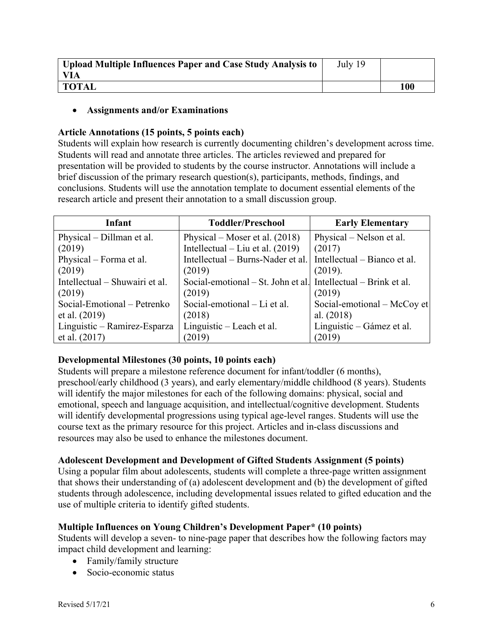| Upload Multiple Influences Paper and Case Study Analysis to | July 19 |     |
|-------------------------------------------------------------|---------|-----|
| VIA                                                         |         |     |
| <b>TOTAL</b>                                                |         | 100 |

#### • **Assignments and/or Examinations**

#### **Article Annotations (15 points, 5 points each)**

Students will explain how research is currently documenting children's development across time. Students will read and annotate three articles. The articles reviewed and prepared for presentation will be provided to students by the course instructor. Annotations will include a brief discussion of the primary research question(s), participants, methods, findings, and conclusions. Students will use the annotation template to document essential elements of the research article and present their annotation to a small discussion group.

| Infant                         | <b>Toddler/Preschool</b>                                       | <b>Early Elementary</b>      |
|--------------------------------|----------------------------------------------------------------|------------------------------|
| Physical – Dillman et al.      | Physical – Moser et al. $(2018)$                               | Physical – Nelson et al.     |
| (2019)                         | Intellectual – Liu et al. $(2019)$                             | (2017)                       |
| Physical – Forma et al.        | Intellectual – Burns-Nader et al.                              | Intellectual – Bianco et al. |
| (2019)                         | (2019)                                                         | (2019).                      |
| Intellectual – Shuwairi et al. | Social-emotional – St. John et al. Intellectual – Brink et al. |                              |
| (2019)                         | (2019)                                                         | (2019)                       |
| Social-Emotional - Petrenko    | Social-emotional – Li et al.                                   | Social-emotional – McCoy et  |
| et al. (2019)                  | (2018)                                                         | al. $(2018)$                 |
| Linguistic – Ramirez-Esparza   | Linguistic – Leach et al.                                      | Linguistic – Gámez et al.    |
| et al. $(2017)$                | (2019)                                                         | (2019)                       |

# **Developmental Milestones (30 points, 10 points each)**

Students will prepare a milestone reference document for infant/toddler (6 months), preschool/early childhood (3 years), and early elementary/middle childhood (8 years). Students will identify the major milestones for each of the following domains: physical, social and emotional, speech and language acquisition, and intellectual/cognitive development. Students will identify developmental progressions using typical age-level ranges. Students will use the course text as the primary resource for this project. Articles and in-class discussions and resources may also be used to enhance the milestones document.

# **Adolescent Development and Development of Gifted Students Assignment (5 points)**

Using a popular film about adolescents, students will complete a three-page written assignment that shows their understanding of (a) adolescent development and (b) the development of gifted students through adolescence, including developmental issues related to gifted education and the use of multiple criteria to identify gifted students.

# **Multiple Influences on Young Children's Development Paper\* (10 points)**

Students will develop a seven- to nine-page paper that describes how the following factors may impact child development and learning:

- Family/family structure
- Socio-economic status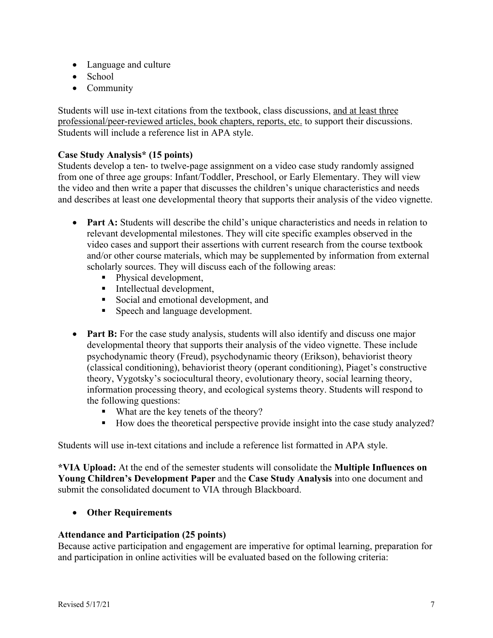- Language and culture
- School
- Community

Students will use in-text citations from the textbook, class discussions, and at least three professional/peer-reviewed articles, book chapters, reports, etc. to support their discussions. Students will include a reference list in APA style.

# **Case Study Analysis\* (15 points)**

Students develop a ten- to twelve-page assignment on a video case study randomly assigned from one of three age groups: Infant/Toddler, Preschool, or Early Elementary. They will view the video and then write a paper that discusses the children's unique characteristics and needs and describes at least one developmental theory that supports their analysis of the video vignette.

- **Part A:** Students will describe the child's unique characteristics and needs in relation to relevant developmental milestones. They will cite specific examples observed in the video cases and support their assertions with current research from the course textbook and/or other course materials, which may be supplemented by information from external scholarly sources. They will discuss each of the following areas:
	- Physical development,
	- Intellectual development,
	- Social and emotional development, and
	- Speech and language development.
- **Part B:** For the case study analysis, students will also identify and discuss one major developmental theory that supports their analysis of the video vignette. These include psychodynamic theory (Freud), psychodynamic theory (Erikson), behaviorist theory (classical conditioning), behaviorist theory (operant conditioning), Piaget's constructive theory, Vygotsky's sociocultural theory, evolutionary theory, social learning theory, information processing theory, and ecological systems theory. Students will respond to the following questions:
	- What are the key tenets of the theory?
	- How does the theoretical perspective provide insight into the case study analyzed?

Students will use in-text citations and include a reference list formatted in APA style.

**\*VIA Upload:** At the end of the semester students will consolidate the **Multiple Influences on Young Children's Development Paper** and the **Case Study Analysis** into one document and submit the consolidated document to VIA through Blackboard.

• **Other Requirements**

# **Attendance and Participation (25 points)**

Because active participation and engagement are imperative for optimal learning, preparation for and participation in online activities will be evaluated based on the following criteria: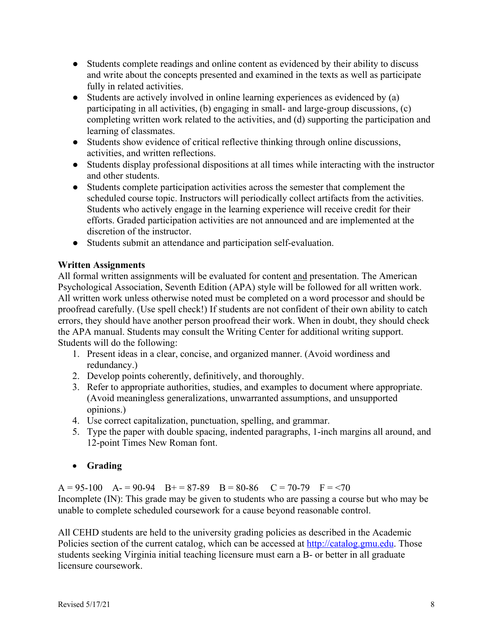- Students complete readings and online content as evidenced by their ability to discuss and write about the concepts presented and examined in the texts as well as participate fully in related activities.
- Students are actively involved in online learning experiences as evidenced by (a) participating in all activities, (b) engaging in small- and large-group discussions, (c) completing written work related to the activities, and (d) supporting the participation and learning of classmates.
- Students show evidence of critical reflective thinking through online discussions, activities, and written reflections.
- Students display professional dispositions at all times while interacting with the instructor and other students.
- Students complete participation activities across the semester that complement the scheduled course topic. Instructors will periodically collect artifacts from the activities. Students who actively engage in the learning experience will receive credit for their efforts. Graded participation activities are not announced and are implemented at the discretion of the instructor.
- Students submit an attendance and participation self-evaluation.

# **Written Assignments**

All formal written assignments will be evaluated for content and presentation. The American Psychological Association, Seventh Edition (APA) style will be followed for all written work. All written work unless otherwise noted must be completed on a word processor and should be proofread carefully. (Use spell check!) If students are not confident of their own ability to catch errors, they should have another person proofread their work. When in doubt, they should check the APA manual. Students may consult the Writing Center for additional writing support. Students will do the following:

- 1. Present ideas in a clear, concise, and organized manner. (Avoid wordiness and redundancy.)
- 2. Develop points coherently, definitively, and thoroughly.
- 3. Refer to appropriate authorities, studies, and examples to document where appropriate. (Avoid meaningless generalizations, unwarranted assumptions, and unsupported opinions.)
- 4. Use correct capitalization, punctuation, spelling, and grammar.
- 5. Type the paper with double spacing, indented paragraphs, 1-inch margins all around, and 12-point Times New Roman font.
- **Grading**

 $A = 95-100$   $A = 90-94$   $B = 87-89$   $B = 80-86$   $C = 70-79$   $F = 70$ Incomplete (IN): This grade may be given to students who are passing a course but who may be unable to complete scheduled coursework for a cause beyond reasonable control.

All CEHD students are held to the university grading policies as described in the Academic Policies section of the current catalog, which can be accessed at http://catalog.gmu.edu. Those students seeking Virginia initial teaching licensure must earn a B- or better in all graduate licensure coursework.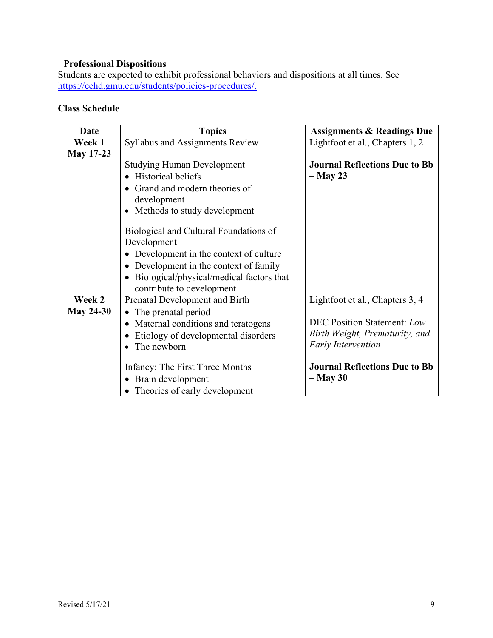#### **Professional Dispositions**

Students are expected to exhibit professional behaviors and dispositions at all times. See https://cehd.gmu.edu/students/policies-procedures/.

# **Class Schedule**

| Date             | <b>Topics</b>                                         | <b>Assignments &amp; Readings Due</b> |
|------------------|-------------------------------------------------------|---------------------------------------|
| Week 1           | Syllabus and Assignments Review                       | Lightfoot et al., Chapters 1, 2       |
| <b>May 17-23</b> |                                                       |                                       |
|                  | <b>Studying Human Development</b>                     | <b>Journal Reflections Due to Bb</b>  |
|                  | <b>Historical beliefs</b>                             | $-$ May 23                            |
|                  | Grand and modern theories of                          |                                       |
|                  | development                                           |                                       |
|                  | Methods to study development<br>$\bullet$             |                                       |
|                  |                                                       |                                       |
|                  | Biological and Cultural Foundations of                |                                       |
|                  | Development                                           |                                       |
|                  | • Development in the context of culture               |                                       |
|                  | Development in the context of family<br>$\bullet$     |                                       |
|                  | Biological/physical/medical factors that<br>$\bullet$ |                                       |
|                  | contribute to development                             |                                       |
| Week 2           | Prenatal Development and Birth                        | Lightfoot et al., Chapters 3, 4       |
| <b>May 24-30</b> | • The prenatal period                                 |                                       |
|                  | Maternal conditions and teratogens<br>$\bullet$       | <b>DEC Position Statement: Low</b>    |
|                  | Etiology of developmental disorders                   | Birth Weight, Prematurity, and        |
|                  | The newborn                                           | <b>Early Intervention</b>             |
|                  | Infancy: The First Three Months                       | <b>Journal Reflections Due to Bb</b>  |
|                  | • Brain development                                   | $-$ May 30                            |
|                  |                                                       |                                       |
|                  | • Theories of early development                       |                                       |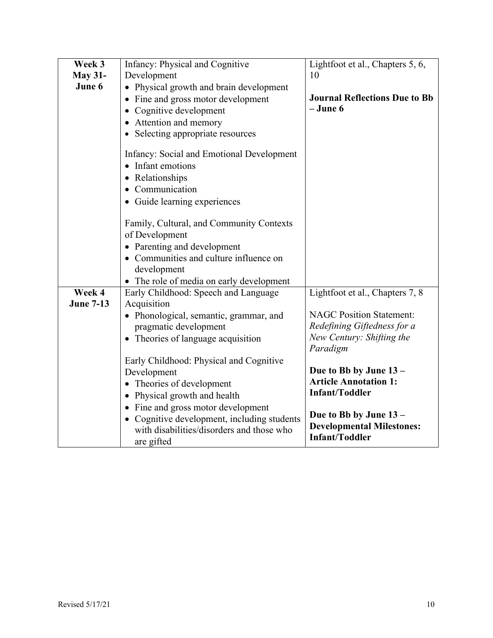| Week 3           | <b>Infancy: Physical and Cognitive</b>                                                                 | Lightfoot et al., Chapters 5, 6,                          |
|------------------|--------------------------------------------------------------------------------------------------------|-----------------------------------------------------------|
|                  |                                                                                                        |                                                           |
| <b>May 31-</b>   | Development                                                                                            | 10                                                        |
| June 6           | • Physical growth and brain development                                                                |                                                           |
|                  | Fine and gross motor development                                                                       | <b>Journal Reflections Due to Bb</b>                      |
|                  | Cognitive development<br>$\bullet$                                                                     | $-June 6$                                                 |
|                  | Attention and memory<br>$\bullet$                                                                      |                                                           |
|                  | • Selecting appropriate resources                                                                      |                                                           |
|                  | <b>Infancy: Social and Emotional Development</b><br>Infant emotions<br>Relationships<br>$\bullet$      |                                                           |
|                  |                                                                                                        |                                                           |
|                  | Communication<br>$\bullet$                                                                             |                                                           |
|                  | • Guide learning experiences                                                                           |                                                           |
|                  | Family, Cultural, and Community Contexts<br>of Development                                             |                                                           |
|                  | • Parenting and development                                                                            |                                                           |
|                  | • Communities and culture influence on                                                                 |                                                           |
|                  | development                                                                                            |                                                           |
|                  | The role of media on early development<br>$\bullet$                                                    |                                                           |
| Week 4           | Early Childhood: Speech and Language                                                                   | Lightfoot et al., Chapters 7, 8                           |
| <b>June 7-13</b> | Acquisition                                                                                            |                                                           |
|                  | • Phonological, semantic, grammar, and                                                                 | <b>NAGC Position Statement:</b>                           |
|                  | pragmatic development                                                                                  | Redefining Giftedness for a                               |
|                  |                                                                                                        | New Century: Shifting the                                 |
|                  | • Theories of language acquisition                                                                     | Paradigm                                                  |
|                  |                                                                                                        |                                                           |
|                  | Early Childhood: Physical and Cognitive                                                                | Due to Bb by June 13 -                                    |
|                  | Development                                                                                            | <b>Article Annotation 1:</b>                              |
|                  | • Theories of development                                                                              | <b>Infant/Toddler</b>                                     |
|                  | • Physical growth and health                                                                           |                                                           |
|                  | • Fine and gross motor development                                                                     | Due to Bb by June 13 -                                    |
|                  | • Cognitive development, including students<br>with disabilities/disorders and those who<br>are gifted | <b>Developmental Milestones:</b><br><b>Infant/Toddler</b> |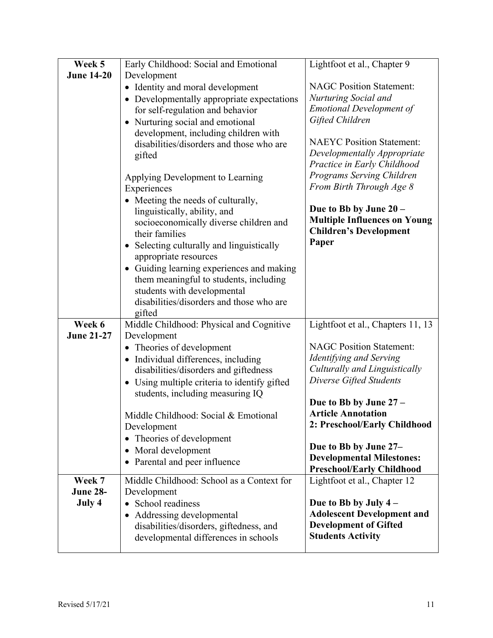| Week 5            | Early Childhood: Social and Emotional                | Lightfoot et al., Chapter 9         |
|-------------------|------------------------------------------------------|-------------------------------------|
| <b>June 14-20</b> | Development                                          |                                     |
|                   | • Identity and moral development                     | <b>NAGC Position Statement:</b>     |
|                   | • Developmentally appropriate expectations           | Nurturing Social and                |
|                   | for self-regulation and behavior                     | <b>Emotional Development of</b>     |
|                   | • Nurturing social and emotional                     | Gifted Children                     |
|                   | development, including children with                 |                                     |
|                   | disabilities/disorders and those who are             | <b>NAEYC</b> Position Statement:    |
|                   | gifted                                               | Developmentally Appropriate         |
|                   |                                                      | Practice in Early Childhood         |
|                   | Applying Development to Learning                     | Programs Serving Children           |
|                   | Experiences                                          | From Birth Through Age 8            |
|                   | • Meeting the needs of culturally,                   |                                     |
|                   | linguistically, ability, and                         | Due to Bb by June 20 -              |
|                   | socioeconomically diverse children and               | <b>Multiple Influences on Young</b> |
|                   | their families                                       | <b>Children's Development</b>       |
|                   | Selecting culturally and linguistically<br>$\bullet$ | Paper                               |
|                   | appropriate resources                                |                                     |
|                   | • Guiding learning experiences and making            |                                     |
|                   | them meaningful to students, including               |                                     |
|                   | students with developmental                          |                                     |
|                   | disabilities/disorders and those who are             |                                     |
|                   | gifted                                               |                                     |
| Week 6            | Middle Childhood: Physical and Cognitive             | Lightfoot et al., Chapters 11, 13   |
| <b>June 21-27</b> | Development                                          |                                     |
|                   | • Theories of development                            | <b>NAGC Position Statement:</b>     |
|                   | • Individual differences, including                  | Identifying and Serving             |
|                   | disabilities/disorders and giftedness                | Culturally and Linguistically       |
|                   | • Using multiple criteria to identify gifted         | Diverse Gifted Students             |
|                   | students, including measuring IQ                     |                                     |
|                   |                                                      | Due to Bb by June 27 -              |
|                   | Middle Childhood: Social & Emotional                 | <b>Article Annotation</b>           |
|                   | Development                                          | 2: Preschool/Early Childhood        |
|                   | Theories of development<br>$\bullet$                 |                                     |
|                   | Moral development<br>$\bullet$                       | Due to Bb by June 27-               |
|                   | Parental and peer influence<br>$\bullet$             | <b>Developmental Milestones:</b>    |
|                   |                                                      | <b>Preschool/Early Childhood</b>    |
| Week 7            | Middle Childhood: School as a Context for            | Lightfoot et al., Chapter 12        |
| <b>June 28-</b>   | Development                                          |                                     |
| July 4            | • School readiness                                   | Due to Bb by July $4-$              |
|                   | • Addressing developmental                           | <b>Adolescent Development and</b>   |
|                   | disabilities/disorders, giftedness, and              | <b>Development of Gifted</b>        |
|                   | developmental differences in schools                 | <b>Students Activity</b>            |
|                   |                                                      |                                     |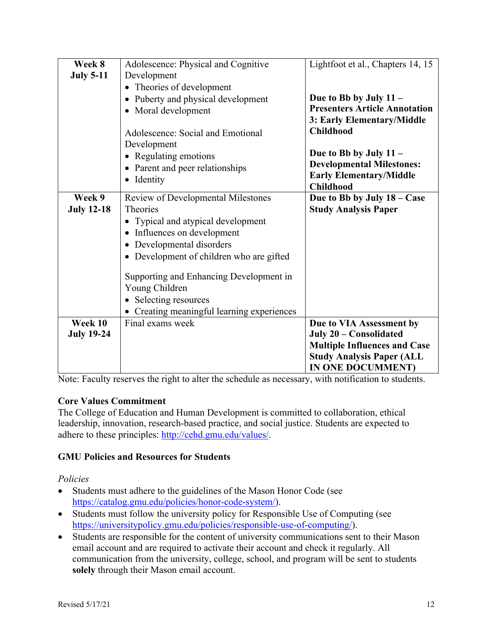| Week 8            | Adolescence: Physical and Cognitive       | Lightfoot et al., Chapters 14, 15    |
|-------------------|-------------------------------------------|--------------------------------------|
| <b>July 5-11</b>  | Development                               |                                      |
|                   | Theories of development                   |                                      |
|                   | Puberty and physical development          | Due to Bb by July 11 -               |
|                   | Moral development                         | <b>Presenters Article Annotation</b> |
|                   |                                           | 3: Early Elementary/Middle           |
|                   | Adolescence: Social and Emotional         | <b>Childhood</b>                     |
|                   | Development                               |                                      |
|                   | • Regulating emotions                     | Due to Bb by July 11 -               |
|                   | Parent and peer relationships             | <b>Developmental Milestones:</b>     |
|                   | Identity                                  | <b>Early Elementary/Middle</b>       |
|                   |                                           | <b>Childhood</b>                     |
| Week 9            | <b>Review of Developmental Milestones</b> | Due to Bb by July 18 – Case          |
| <b>July 12-18</b> | Theories                                  | <b>Study Analysis Paper</b>          |
|                   | Typical and atypical development          |                                      |
|                   | Influences on development                 |                                      |
|                   | Developmental disorders<br>$\bullet$      |                                      |
|                   | Development of children who are gifted    |                                      |
|                   |                                           |                                      |
|                   | Supporting and Enhancing Development in   |                                      |
|                   | Young Children                            |                                      |
|                   | Selecting resources                       |                                      |
|                   | Creating meaningful learning experiences  |                                      |
| Week 10           | Final exams week                          | Due to VIA Assessment by             |
| <b>July 19-24</b> |                                           | July 20 - Consolidated               |
|                   |                                           | <b>Multiple Influences and Case</b>  |
|                   |                                           | <b>Study Analysis Paper (ALL</b>     |
|                   |                                           | <b>IN ONE DOCUMMENT)</b>             |

Note: Faculty reserves the right to alter the schedule as necessary, with notification to students.

# **Core Values Commitment**

The College of Education and Human Development is committed to collaboration, ethical leadership, innovation, research-based practice, and social justice. Students are expected to adhere to these principles: http://cehd.gmu.edu/values/.

# **GMU Policies and Resources for Students**

# *Policies*

- Students must adhere to the guidelines of the Mason Honor Code (see https://catalog.gmu.edu/policies/honor-code-system/).
- Students must follow the university policy for Responsible Use of Computing (see https://universitypolicy.gmu.edu/policies/responsible-use-of-computing/).
- Students are responsible for the content of university communications sent to their Mason email account and are required to activate their account and check it regularly. All communication from the university, college, school, and program will be sent to students **solely** through their Mason email account.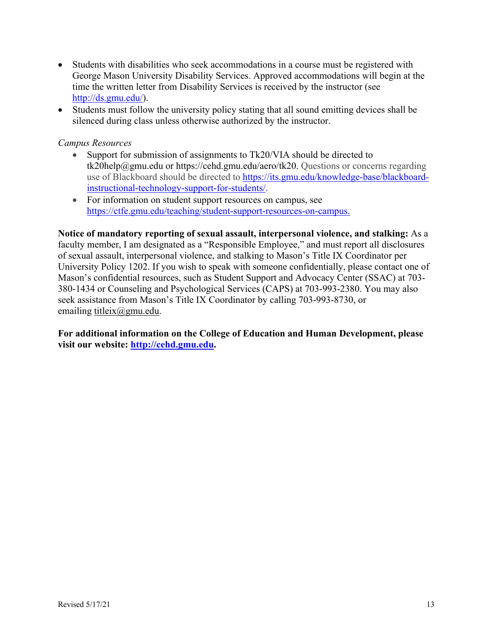- Students with disabilities who seek accommodations in a course must be registered with George Mason University Disability Services. Approved accommodations will begin at the time the written letter from Disability Services is received by the instructor (see http://ds.gmu.edu/).
- Students must follow the university policy stating that all sound emitting devices shall be silenced during class unless otherwise authorized by the instructor.

#### *Campus Resources*

- Support for submission of assignments to Tk20/VIA should be directed to tk20help@gmu.edu or https://cehd.gmu.edu/aero/tk20. Questions or concerns regarding use of Blackboard should be directed to https://its.gmu.edu/knowledge-base/blackboardinstructional-technology-support-for-students/.
- For information on student support resources on campus, see https://ctfe.gmu.edu/teaching/student-support-resources-on-campus.

**Notice of mandatory reporting of sexual assault, interpersonal violence, and stalking:** As a faculty member, I am designated as a "Responsible Employee," and must report all disclosures of sexual assault, interpersonal violence, and stalking to Mason's Title IX Coordinator per University Policy 1202. If you wish to speak with someone confidentially, please contact one of Mason's confidential resources, such as Student Support and Advocacy Center (SSAC) at 703- 380-1434 or Counseling and Psychological Services (CAPS) at 703-993-2380. You may also seek assistance from Mason's Title IX Coordinator by calling 703-993-8730, or emailing titleix@gmu.edu.

**For additional information on the College of Education and Human Development, please visit our website: http://cehd.gmu.edu.**